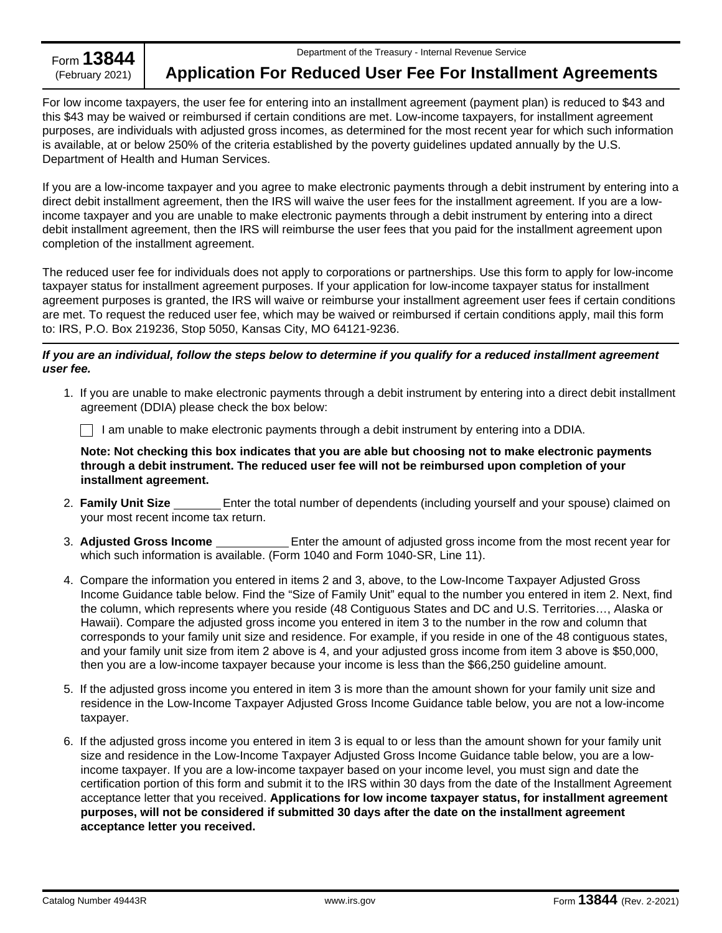Form **13844**<br>(February 2021)

## **Application For Reduced User Fee For Installment Agreements**

For low income taxpayers, the user fee for entering into an installment agreement (payment plan) is reduced to \$43 and this \$43 may be waived or reimbursed if certain conditions are met. Low-income taxpayers, for installment agreement purposes, are individuals with adjusted gross incomes, as determined for the most recent year for which such information is available, at or below 250% of the criteria established by the poverty guidelines updated annually by the U.S. Department of Health and Human Services.

If you are a low-income taxpayer and you agree to make electronic payments through a debit instrument by entering into a direct debit installment agreement, then the IRS will waive the user fees for the installment agreement. If you are a lowincome taxpayer and you are unable to make electronic payments through a debit instrument by entering into a direct debit installment agreement, then the IRS will reimburse the user fees that you paid for the installment agreement upon completion of the installment agreement.

The reduced user fee for individuals does not apply to corporations or partnerships. Use this form to apply for low-income taxpayer status for installment agreement purposes. If your application for low-income taxpayer status for installment agreement purposes is granted, the IRS will waive or reimburse your installment agreement user fees if certain conditions are met. To request the reduced user fee, which may be waived or reimbursed if certain conditions apply, mail this form to: IRS, P.O. Box 219236, Stop 5050, Kansas City, MO 64121-9236.

## *If you are an individual, follow the steps below to determine if you qualify for a reduced installment agreement user fee.*

1. If you are unable to make electronic payments through a debit instrument by entering into a direct debit installment agreement (DDIA) please check the box below:

 $\Box$  I am unable to make electronic payments through a debit instrument by entering into a DDIA.

**Note: Not checking this box indicates that you are able but choosing not to make electronic payments through a debit instrument. The reduced user fee will not be reimbursed upon completion of your installment agreement.**

- 2. **Family Unit Size** Enter the total number of dependents (including yourself and your spouse) claimed on your most recent income tax return.
- 3. **Adjusted Gross Income** Enter the amount of adjusted gross income from the most recent year for which such information is available. (Form 1040 and Form 1040-SR, Line 11).
- 4. Compare the information you entered in items 2 and 3, above, to the Low-Income Taxpayer Adjusted Gross Income Guidance table below. Find the "Size of Family Unit" equal to the number you entered in item 2. Next, find the column, which represents where you reside (48 Contiguous States and DC and U.S. Territories…, Alaska or Hawaii). Compare the adjusted gross income you entered in item 3 to the number in the row and column that corresponds to your family unit size and residence. For example, if you reside in one of the 48 contiguous states, and your family unit size from item 2 above is 4, and your adjusted gross income from item 3 above is \$50,000, then you are a low-income taxpayer because your income is less than the \$66,250 guideline amount.
- 5. If the adjusted gross income you entered in item 3 is more than the amount shown for your family unit size and residence in the Low-Income Taxpayer Adjusted Gross Income Guidance table below, you are not a low-income taxpayer.
- 6. If the adjusted gross income you entered in item 3 is equal to or less than the amount shown for your family unit size and residence in the Low-Income Taxpayer Adjusted Gross Income Guidance table below, you are a lowincome taxpayer. If you are a low-income taxpayer based on your income level, you must sign and date the certification portion of this form and submit it to the IRS within 30 days from the date of the Installment Agreement acceptance letter that you received. **Applications for low income taxpayer status, for installment agreement purposes, will not be considered if submitted 30 days after the date on the installment agreement acceptance letter you received.**